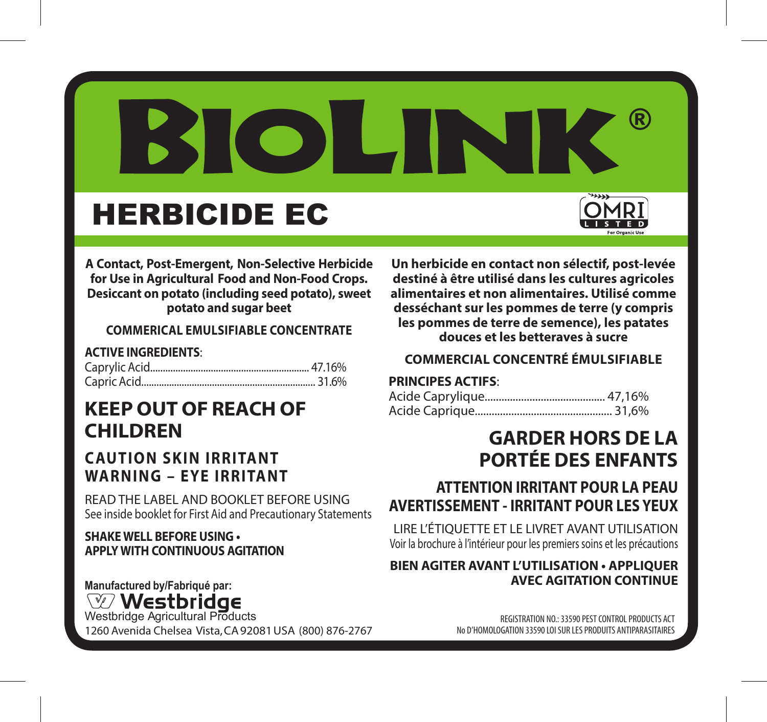

# HERBICIDE EC



**A Contact, Post-Emergent, Non-Selective Herbicide for Use in Agricultural Food and Non-Food Crops. Desiccant on potato (including seed potato), sweet potato and sugar beet**

#### **COMMERICAL EMULSIFIABLE CONCENTRATE**

#### **ACTIVE INGREDIENTS**:

## **KEEP OUT OF REACH OF CHILDREN**

## **CAUTION SKIN IRRITANT WARNING – EYE IRRITANT**

READ THE LABEL AND BOOKLET BEFORE USING See inside booklet for First Aid and Precautionary Statements

#### **SHAKE WELL BEFORE USING • APPLY WITH CONTINUOUS AGITATION**

**AVEC AGITATION CONTINUE**<br>  $\sqrt{\phantom{a}}\sqrt{\phantom{a}}\sqrt{\phantom{a}}$  **Mestbridge** Westbridge Agricultural Products 1260 Avenida Chelsea Vista, CA 92081 USA (800) 876-2767

**Un herbicide en contact non sélectif, post-levée destiné à être utilisé dans les cultures agricoles alimentaires et non alimentaires. Utilisé comme desséchant sur les pommes de terre (y compris les pommes de terre de semence), les patates douces et les betteraves à sucre**

#### **COMMERCIAL CONCENTRÉ ÉMULSIFIABLE**

#### **PRINCIPES ACTIFS**:

## **GARDER HORS DE LA PORTÉE DES ENFANTS**

### **ATTENTION IRRITANT POUR LA PEAU AVERTISSEMENT - IRRITANT POUR LES YEUX**

LIRE L'ÉTIQUETTE ET LE LIVRET AVANT UTILISATION Voir la brochure à l'intérieur pour les premiers soins et les précautions

# **BIEN AGITER AVANT L'UTILISATION • APPLIQUER**

REGISTRATION NO.: 33590 PEST CONTROL PRODUCTS ACT<br>No D'HOMOLOGATION 33590 LOI SUR LES PRODUITS ANTIPARASITAIRES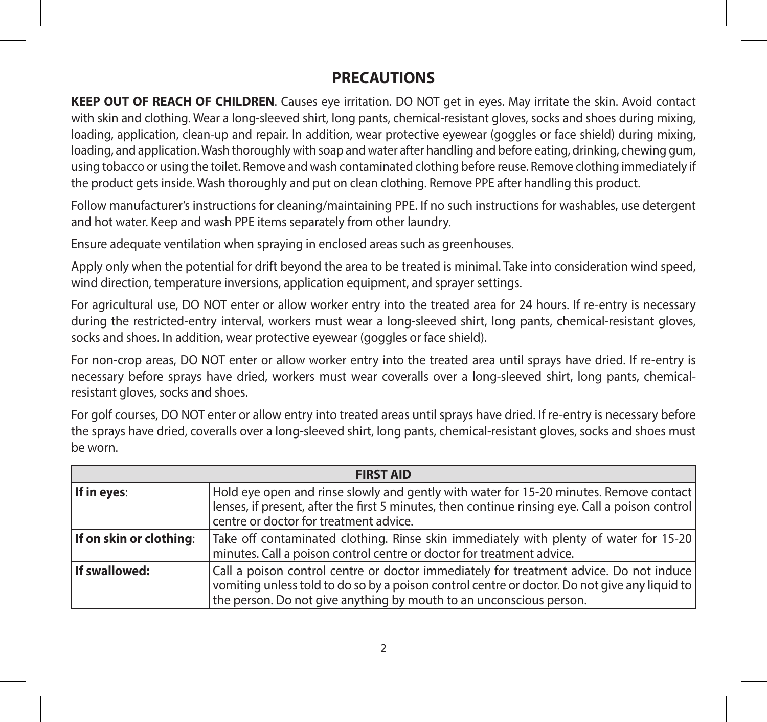## **PRECAUTIONS**

**KEEP OUT OF REACH OF CHILDREN**. Causes eye irritation. DO NOT get in eyes. May irritate the skin. Avoid contact with skin and clothing. Wear a long-sleeved shirt, long pants, chemical-resistant gloves, socks and shoes during mixing, loading, application, clean-up and repair. In addition, wear protective eyewear (goggles or face shield) during mixing, loading, and application. Wash thoroughly with soap and water after handling and before eating, drinking, chewing gum, using tobacco or using the toilet. Remove and wash contaminated clothing before reuse. Remove clothing immediately if the product gets inside. Wash thoroughly and put on clean clothing. Remove PPE after handling this product.

Follow manufacturer's instructions for cleaning/maintaining PPE. If no such instructions for washables, use detergent and hot water. Keep and wash PPE items separately from other laundry.

Ensure adequate ventilation when spraying in enclosed areas such as greenhouses.

Apply only when the potential for drift beyond the area to be treated is minimal. Take into consideration wind speed, wind direction, temperature inversions, application equipment, and sprayer settings.

For agricultural use, DO NOT enter or allow worker entry into the treated area for 24 hours. If re-entry is necessary during the restricted-entry interval, workers must wear a long-sleeved shirt, long pants, chemical-resistant gloves, socks and shoes. In addition, wear protective eyewear (goggles or face shield).

For non-crop areas, DO NOT enter or allow worker entry into the treated area until sprays have dried. If re-entry is necessary before sprays have dried, workers must wear coveralls over a long-sleeved shirt, long pants, chemicalresistant gloves, socks and shoes.

For golf courses, DO NOT enter or allow entry into treated areas until sprays have dried. If re-entry is necessary before the sprays have dried, coveralls over a long-sleeved shirt, long pants, chemical-resistant gloves, socks and shoes must be worn.

|                         | <b>FIRST AID</b>                                                                                                                                                                                                                                               |  |  |
|-------------------------|----------------------------------------------------------------------------------------------------------------------------------------------------------------------------------------------------------------------------------------------------------------|--|--|
| If in eyes:             | Hold eye open and rinse slowly and gently with water for 15-20 minutes. Remove contact<br>lenses, if present, after the first 5 minutes, then continue rinsing eye. Call a poison control<br>centre or doctor for treatment advice.                            |  |  |
| If on skin or clothing: | Take off contaminated clothing. Rinse skin immediately with plenty of water for 15-20<br>minutes. Call a poison control centre or doctor for treatment advice.                                                                                                 |  |  |
| If swallowed:           | Call a poison control centre or doctor immediately for treatment advice. Do not induce<br>vomiting unless told to do so by a poison control centre or doctor. Do not give any liquid to<br>the person. Do not give anything by mouth to an unconscious person. |  |  |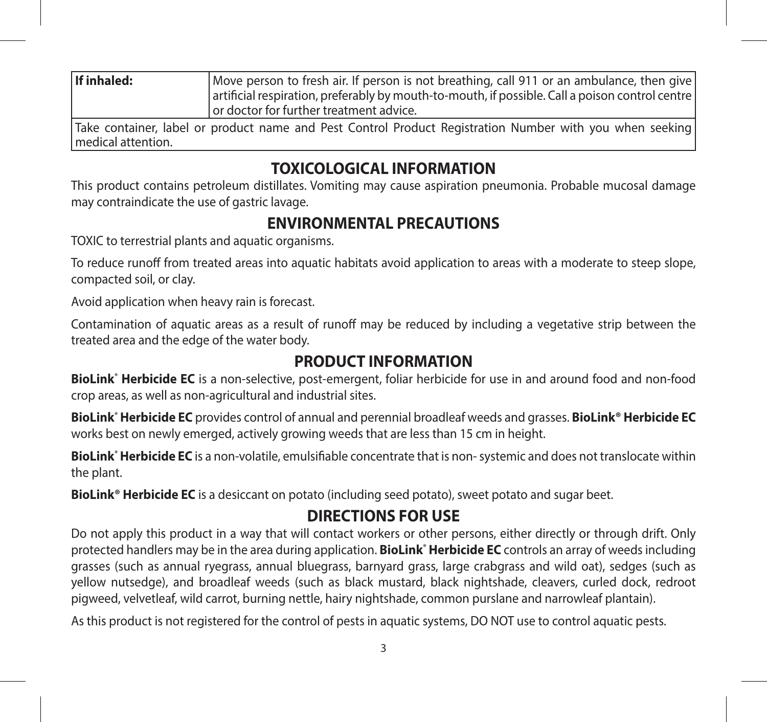| If inhaled:          | Move person to fresh air. If person is not breathing, call 911 or an ambulance, then give<br>  artificial respiration, preferably by mouth-to-mouth, if possible. Call a poison control centre<br>or doctor for further treatment advice. |
|----------------------|-------------------------------------------------------------------------------------------------------------------------------------------------------------------------------------------------------------------------------------------|
| l medical attention. | Take container, label or product name and Pest Control Product Registration Number with you when seeking                                                                                                                                  |

## **TOXICOLOGICAL INFORMATION**

This product contains petroleum distillates. Vomiting may cause aspiration pneumonia. Probable mucosal damage may contraindicate the use of gastric lavage.

## **ENVIRONMENTAL PRECAUTIONS**

TOXIC to terrestrial plants and aquatic organisms.

To reduce runoff from treated areas into aquatic habitats avoid application to areas with a moderate to steep slope, compacted soil, or clay.

Avoid application when heavy rain is forecast.

Contamination of aquatic areas as a result of runoff may be reduced by including a vegetative strip between the treated area and the edge of the water body.

### **PRODUCT INFORMATION**

**BioLink® Herbicide EC** is a non-selective, post-emergent, foliar herbicide for use in and around food and non-food crop areas, as well as non-agricultural and industrial sites.

**BioLink® Herbicide EC** provides control of annual and perennial broadleaf weeds and grasses. **BioLink® Herbicide EC**  works best on newly emerged, actively growing weeds that are less than 15 cm in height.

**BioLink® Herbicide EC** is a non-volatile, emulsifiable concentrate that is non- systemic and does not translocate within the plant.

**BioLink® Herbicide EC** is a desiccant on potato (including seed potato), sweet potato and sugar beet.

## **DIRECTIONS FOR USE**

Do not apply this product in a way that will contact workers or other persons, either directly or through drift. Only protected handlers may be in the area during application. **BioLink® Herbicide EC** controls an array of weeds including grasses (such as annual ryegrass, annual bluegrass, barnyard grass, large crabgrass and wild oat), sedges (such as yellow nutsedge), and broadleaf weeds (such as black mustard, black nightshade, cleavers, curled dock, redroot pigweed, velvetleaf, wild carrot, burning nettle, hairy nightshade, common purslane and narrowleaf plantain).

As this product is not registered for the control of pests in aquatic systems, DO NOT use to control aquatic pests.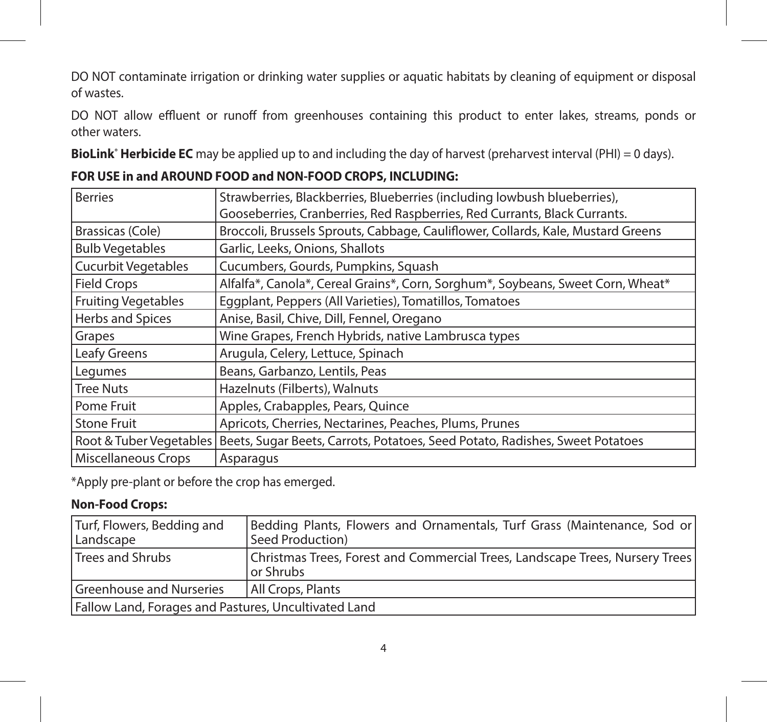DO NOT contaminate irrigation or drinking water supplies or aquatic habitats by cleaning of equipment or disposal of wastes.

DO NOT allow effluent or runoff from greenhouses containing this product to enter lakes, streams, ponds or other waters.

**BioLink<sup>®</sup> Herbicide EC** may be applied up to and including the day of harvest (preharvest interval (PHI) = 0 days).

| <b>Berries</b>             | Strawberries, Blackberries, Blueberries (including lowbush blueberries),         |
|----------------------------|----------------------------------------------------------------------------------|
|                            | Gooseberries, Cranberries, Red Raspberries, Red Currants, Black Currants.        |
| Brassicas (Cole)           | Broccoli, Brussels Sprouts, Cabbage, Cauliflower, Collards, Kale, Mustard Greens |
| <b>Bulb Vegetables</b>     | Garlic, Leeks, Onions, Shallots                                                  |
| <b>Cucurbit Vegetables</b> | Cucumbers, Gourds, Pumpkins, Squash                                              |
| <b>Field Crops</b>         | Alfalfa*, Canola*, Cereal Grains*, Corn, Sorghum*, Soybeans, Sweet Corn, Wheat*  |
| <b>Fruiting Vegetables</b> | Eggplant, Peppers (All Varieties), Tomatillos, Tomatoes                          |
| Herbs and Spices           | Anise, Basil, Chive, Dill, Fennel, Oregano                                       |
| Grapes                     | Wine Grapes, French Hybrids, native Lambrusca types                              |
| Leafy Greens               | Arugula, Celery, Lettuce, Spinach                                                |
| Legumes                    | Beans, Garbanzo, Lentils, Peas                                                   |
| <b>Tree Nuts</b>           | Hazelnuts (Filberts), Walnuts                                                    |
| Pome Fruit                 | Apples, Crabapples, Pears, Quince                                                |
| <b>Stone Fruit</b>         | Apricots, Cherries, Nectarines, Peaches, Plums, Prunes                           |
| Root & Tuber Vegetables    | Beets, Sugar Beets, Carrots, Potatoes, Seed Potato, Radishes, Sweet Potatoes     |
| Miscellaneous Crops        | Asparagus                                                                        |

|  | FOR USE in and AROUND FOOD and NON-FOOD CROPS, INCLUDING: |
|--|-----------------------------------------------------------|
|  |                                                           |

\*Apply pre-plant or before the crop has emerged.

#### **Non-Food Crops:**

| Turf, Flowers, Bedding and<br>Landscape              | Bedding Plants, Flowers and Ornamentals, Turf Grass (Maintenance, Sod or<br>Seed Production) |
|------------------------------------------------------|----------------------------------------------------------------------------------------------|
| Trees and Shrubs                                     | Christmas Trees, Forest and Commercial Trees, Landscape Trees, Nursery Trees<br>or Shrubs    |
| <b>Greenhouse and Nurseries</b>                      | All Crops, Plants                                                                            |
| Fallow Land, Forages and Pastures, Uncultivated Land |                                                                                              |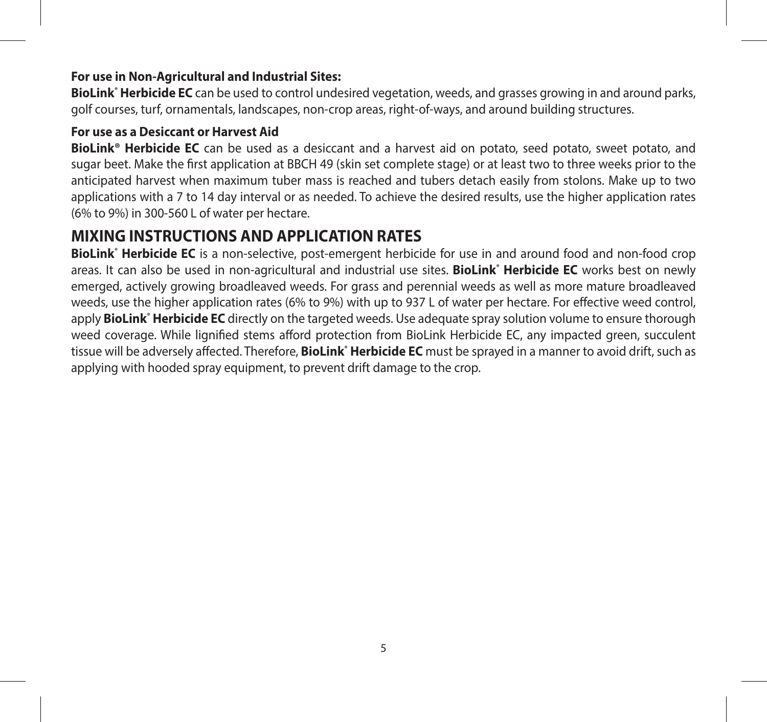#### **For use in Non-Agricultural and Industrial Sites:**

**BioLink<sup>®</sup> Herbicide EC** can be used to control undesired vegetation, weeds, and grasses growing in and around parks, golf courses, turf, ornamentals, landscapes, non-crop areas, right-of-ways, and around building structures.

#### **For use as a Desiccant or Harvest Aid**

**BioLink® Herbicide EC** can be used as a desiccant and a harvest aid on potato, seed potato, sweet potato, and sugar beet. Make the first application at BBCH 49 (skin set complete stage) or at least two to three weeks prior to the anticipated harvest when maximum tuber mass is reached and tubers detach easily from stolons. Make up to two applications with a 7 to 14 day interval or as needed. To achieve the desired results, use the higher application rates (6% to 9%) in 300-560 L of water per hectare.

## **MIXING INSTRUCTIONS AND APPLICATION RATES**

**BioLink® Herbicide EC** is a non-selective, post-emergent herbicide for use in and around food and non-food crop areas. It can also be used in non-agricultural and industrial use sites. **BioLink® Herbicide EC** works best on newly emerged, actively growing broadleaved weeds. For grass and perennial weeds as well as more mature broadleaved weeds, use the higher application rates (6% to 9%) with up to 937 L of water per hectare. For effective weed control, apply **BioLink<sup>®</sup> Herbicide EC** directly on the targeted weeds. Use adequate spray solution volume to ensure thorough weed coverage. While lignified stems afford protection from BioLink Herbicide EC, any impacted green, succulent tissue will be adversely affected. Therefore, **BioLink® Herbicide EC** must be sprayed in a manner to avoid drift, such as applying with hooded spray equipment, to prevent drift damage to the crop.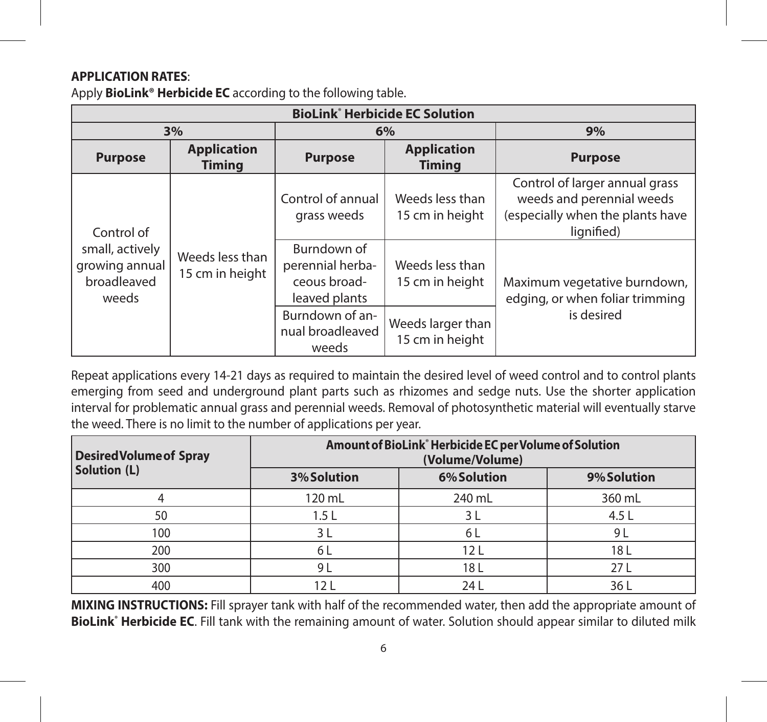#### **APPLICATION RATES**:

| <b>BioLink® Herbicide EC Solution</b>                     |                                              |                                                                  |                                     |                                                                                                               |
|-----------------------------------------------------------|----------------------------------------------|------------------------------------------------------------------|-------------------------------------|---------------------------------------------------------------------------------------------------------------|
| 3%                                                        |                                              | 6%                                                               |                                     | 9%                                                                                                            |
| <b>Purpose</b>                                            | <b>Application</b><br><b>Timing</b>          | <b>Purpose</b>                                                   | <b>Application</b><br><b>Timing</b> | <b>Purpose</b>                                                                                                |
| Control of                                                |                                              | Control of annual<br>grass weeds                                 | Weeds less than<br>15 cm in height  | Control of larger annual grass<br>weeds and perennial weeds<br>(especially when the plants have<br>lignified) |
| small, actively<br>growing annual<br>broadleaved<br>weeds | Weeds less than<br>15 cm in height           | Burndown of<br>perennial herba-<br>ceous broad-<br>leaved plants | Weeds less than<br>15 cm in height  | Maximum vegetative burndown,<br>edging, or when foliar trimming                                               |
|                                                           | Burndown of an-<br>nual broadleaved<br>weeds | Weeds larger than<br>15 cm in height                             | is desired                          |                                                                                                               |

Apply **BioLink® Herbicide EC** according to the following table.

Repeat applications every 14-21 days as required to maintain the desired level of weed control and to control plants emerging from seed and underground plant parts such as rhizomes and sedge nuts. Use the shorter application interval for problematic annual grass and perennial weeds. Removal of photosynthetic material will eventually starve the weed. There is no limit to the number of applications per year.

| <b>Desired Volume of Spray</b> | Amount of BioLink® Herbicide EC per Volume of Solution<br>(Volume/Volume) |             |                 |
|--------------------------------|---------------------------------------------------------------------------|-------------|-----------------|
| Solution (L)                   | 3% Solution                                                               | 6% Solution | 9% Solution     |
|                                | 120 mL                                                                    | 240 mL      | 360 mL          |
| 50                             | 1.5L                                                                      | 3 L         | 4.5 $L$         |
| 100                            | 3 L                                                                       | 6 L         | 9 L             |
| 200                            | 6 L                                                                       | 12L         | 18 L            |
| 300                            | 9 L                                                                       | 18L         | 27 <sub>l</sub> |
| 400                            | 21                                                                        | 24 L        | 36 L            |

**MIXING INSTRUCTIONS:** Fill sprayer tank with half of the recommended water, then add the appropriate amount of **BioLink® Herbicide EC**. Fill tank with the remaining amount of water. Solution should appear similar to diluted milk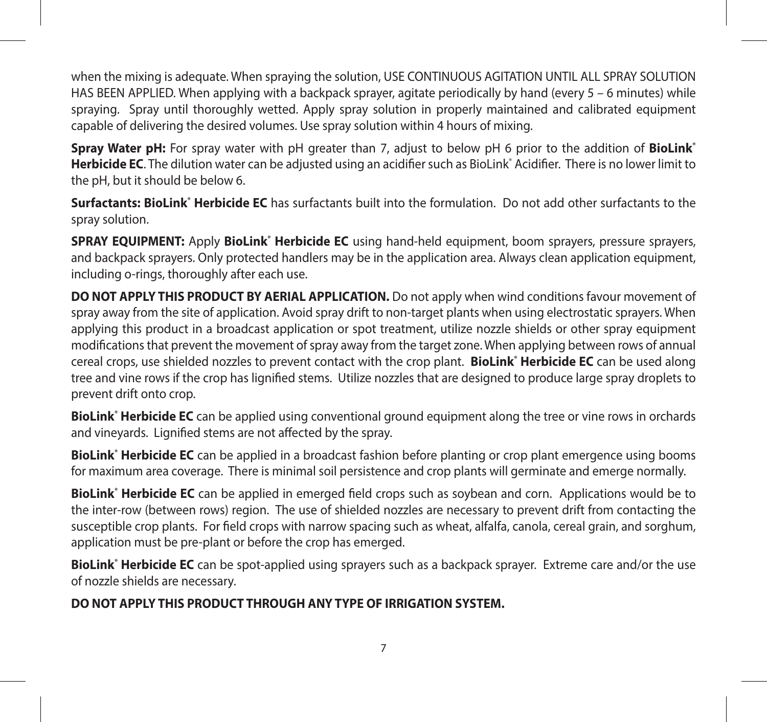when the mixing is adequate. When spraying the solution, USE CONTINUOUS AGITATION UNTIL ALL SPRAY SOLUTION HAS BEEN APPLIED. When applying with a backpack sprayer, agitate periodically by hand (every 5 – 6 minutes) while spraying. Spray until thoroughly wetted. Apply spray solution in properly maintained and calibrated equipment capable of delivering the desired volumes. Use spray solution within 4 hours of mixing.

**Spray Water pH:** For spray water with pH greater than 7, adjust to below pH 6 prior to the addition of **BioLink®** Herbicide EC. The dilution water can be adjusted using an acidifier such as BioLink<sup>®</sup> Acidifier. There is no lower limit to the pH, but it should be below 6.

**Surfactants: BioLink® Herbicide EC** has surfactants built into the formulation. Do not add other surfactants to the spray solution.

SPRAY EQUIPMENT: Apply BioLink<sup>®</sup> Herbicide EC using hand-held equipment, boom sprayers, pressure sprayers, and backpack sprayers. Only protected handlers may be in the application area. Always clean application equipment, including o-rings, thoroughly after each use.

**DO NOT APPLY THIS PRODUCT BY AERIAL APPLICATION.** Do not apply when wind conditions favour movement of spray away from the site of application. Avoid spray drift to non-target plants when using electrostatic sprayers. When applying this product in a broadcast application or spot treatment, utilize nozzle shields or other spray equipment modifications that prevent the movement of spray away from the target zone. When applying between rows of annual cereal crops, use shielded nozzles to prevent contact with the crop plant. **BioLink® Herbicide EC** can be used along tree and vine rows if the crop has lignified stems. Utilize nozzles that are designed to produce large spray droplets to prevent drift onto crop.

**BioLink® Herbicide EC** can be applied using conventional ground equipment along the tree or vine rows in orchards and vineyards. Lignified stems are not affected by the spray.

BioLink<sup>®</sup> Herbicide EC can be applied in a broadcast fashion before planting or crop plant emergence using booms for maximum area coverage. There is minimal soil persistence and crop plants will germinate and emerge normally.

**BioLink® Herbicide EC** can be applied in emerged field crops such as soybean and corn. Applications would be to the inter-row (between rows) region. The use of shielded nozzles are necessary to prevent drift from contacting the susceptible crop plants. For field crops with narrow spacing such as wheat, alfalfa, canola, cereal grain, and sorghum, application must be pre-plant or before the crop has emerged.

**BioLink® Herbicide EC** can be spot-applied using sprayers such as a backpack sprayer. Extreme care and/or the use of nozzle shields are necessary.

#### **DO NOT APPLY THIS PRODUCT THROUGH ANY TYPE OF IRRIGATION SYSTEM.**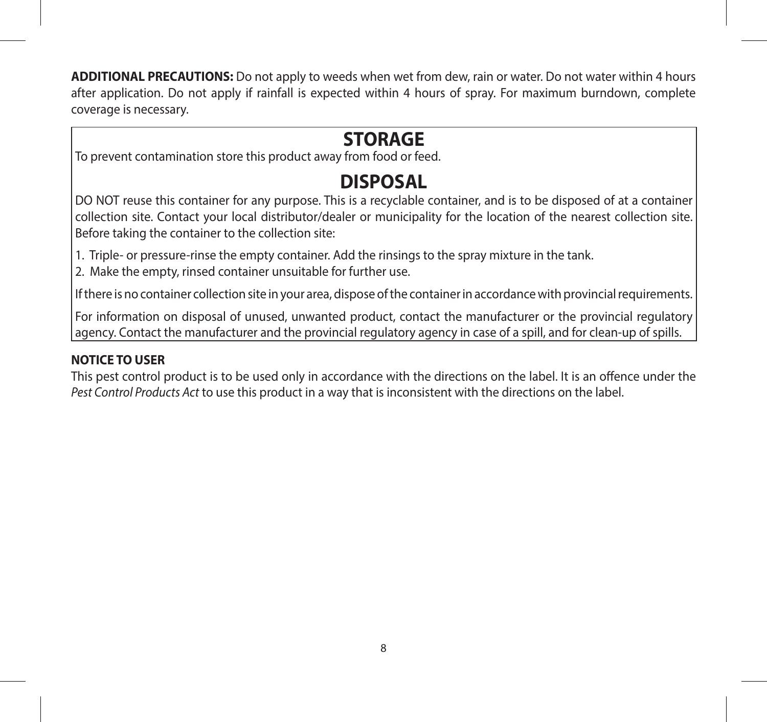**ADDITIONAL PRECAUTIONS:** Do not apply to weeds when wet from dew, rain or water. Do not water within 4 hours after application. Do not apply if rainfall is expected within 4 hours of spray. For maximum burndown, complete coverage is necessary.

## **STORAGE**

To prevent contamination store this product away from food or feed.

## **DISPOSAL**

DO NOT reuse this container for any purpose. This is a recyclable container, and is to be disposed of at a container collection site. Contact your local distributor/dealer or municipality for the location of the nearest collection site. Before taking the container to the collection site:

1. Triple- or pressure-rinse the empty container. Add the rinsings to the spray mixture in the tank.

2. Make the empty, rinsed container unsuitable for further use.

If there is no container collection site in your area, dispose of the container in accordance with provincial requirements.

For information on disposal of unused, unwanted product, contact the manufacturer or the provincial regulatory agency. Contact the manufacturer and the provincial regulatory agency in case of a spill, and for clean-up of spills.

#### **NOTICE TO USER**

This pest control product is to be used only in accordance with the directions on the label. It is an offence under the *Pest Control Products Act* to use this product in a way that is inconsistent with the directions on the label.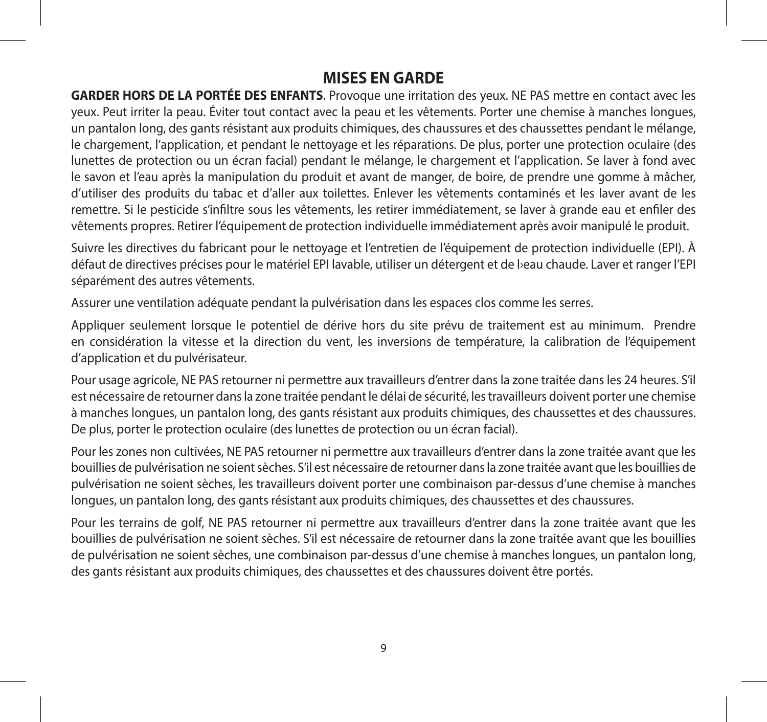### **MISES EN GARDE**

**GARDER HORS DE LA PORTÉE DES ENFANTS**. Provoque une irritation des yeux. NE PAS mettre en contact avec les yeux. Peut irriter la peau. Éviter tout contact avec la peau et les vêtements. Porter une chemise à manches longues, un pantalon long, des gants résistant aux produits chimiques, des chaussures et des chaussettes pendant le mélange, le chargement, l'application, et pendant le nettoyage et les réparations. De plus, porter une protection oculaire (des lunettes de protection ou un écran facial) pendant le mélange, le chargement et l'application. Se laver à fond avec le savon et l'eau après la manipulation du produit et avant de manger, de boire, de prendre une gomme à mâcher, d'utiliser des produits du tabac et d'aller aux toilettes. Enlever les vêtements contaminés et les laver avant de les remettre. Si le pesticide s'infiltre sous les vêtements, les retirer immédiatement, se laver à grande eau et enfiler des vêtements propres. Retirer l'équipement de protection individuelle immédiatement après avoir manipulé le produit.

Suivre les directives du fabricant pour le nettoyage et l'entretien de l'équipement de protection individuelle (EPI). À défaut de directives précises pour le matériel EPI lavable, utiliser un détergent et de l›eau chaude. Laver et ranger l'EPI séparément des autres vêtements.

Assurer une ventilation adéquate pendant la pulvérisation dans les espaces clos comme les serres.

Appliquer seulement lorsque le potentiel de dérive hors du site prévu de traitement est au minimum. Prendre en considération la vitesse et la direction du vent, les inversions de température, la calibration de l'équipement d'application et du pulvérisateur.

Pour usage agricole, NE PAS retourner ni permettre aux travailleurs d'entrer dans la zone traitée dans les 24 heures. S'il est nécessaire de retourner dans la zone traitée pendant le délai de sécurité, les travailleurs doivent porter une chemise à manches longues, un pantalon long, des gants résistant aux produits chimiques, des chaussettes et des chaussures. De plus, porter le protection oculaire (des lunettes de protection ou un écran facial).

Pour les zones non cultivées, NE PAS retourner ni permettre aux travailleurs d'entrer dans la zone traitée avant que les bouillies de pulvérisation ne soient sèches. S'il est nécessaire de retourner dans la zone traitée avant que les bouillies de pulvérisation ne soient sèches, les travailleurs doivent porter une combinaison par-dessus d'une chemise à manches longues, un pantalon long, des gants résistant aux produits chimiques, des chaussettes et des chaussures.

Pour les terrains de golf, NE PAS retourner ni permettre aux travailleurs d'entrer dans la zone traitée avant que les bouillies de pulvérisation ne soient sèches. S'il est nécessaire de retourner dans la zone traitée avant que les bouillies de pulvérisation ne soient sèches, une combinaison par-dessus d'une chemise à manches longues, un pantalon long, des gants résistant aux produits chimiques, des chaussettes et des chaussures doivent être portés.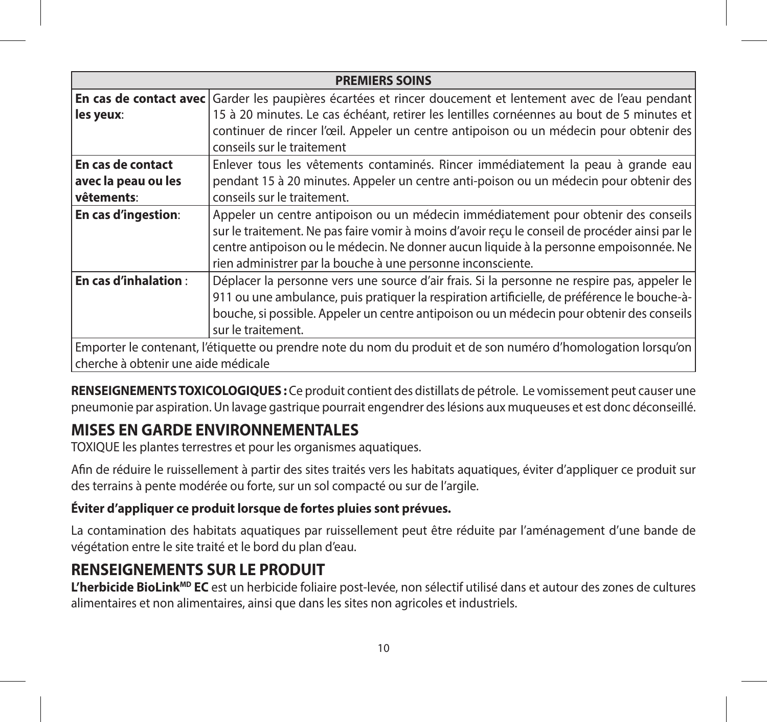| <b>PREMIERS SOINS</b>               |                                                                                                                |  |
|-------------------------------------|----------------------------------------------------------------------------------------------------------------|--|
| En cas de contact avec              | Garder les paupières écartées et rincer doucement et lentement avec de l'eau pendant                           |  |
| les yeux:                           | 15 à 20 minutes. Le cas échéant, retirer les lentilles cornéennes au bout de 5 minutes et                      |  |
|                                     | continuer de rincer l'œil. Appeler un centre antipoison ou un médecin pour obtenir des                         |  |
|                                     | conseils sur le traitement                                                                                     |  |
| En cas de contact                   | Enlever tous les vêtements contaminés. Rincer immédiatement la peau à grande eau                               |  |
| avec la peau ou les                 | pendant 15 à 20 minutes. Appeler un centre anti-poison ou un médecin pour obtenir des                          |  |
| vêtements:                          | conseils sur le traitement.                                                                                    |  |
| <b>En cas d'ingestion:</b>          | Appeler un centre antipoison ou un médecin immédiatement pour obtenir des conseils                             |  |
|                                     | sur le traitement. Ne pas faire vomir à moins d'avoir recu le conseil de procéder ainsi par le                 |  |
|                                     | centre antipoison ou le médecin. Ne donner aucun liquide à la personne empoisonnée. Ne                         |  |
|                                     | rien administrer par la bouche à une personne inconsciente.                                                    |  |
| <b>En cas d'inhalation :</b>        | Déplacer la personne vers une source d'air frais. Si la personne ne respire pas, appeler le                    |  |
|                                     | 911 ou une ambulance, puis pratiquer la respiration artificielle, de préférence le bouche-à-                   |  |
|                                     | bouche, si possible. Appeler un centre antipoison ou un médecin pour obtenir des conseils                      |  |
|                                     | sur le traitement.                                                                                             |  |
|                                     | Emporter le contenant, l'étiquette ou prendre note du nom du produit et de son numéro d'homologation lorsqu'on |  |
| cherche à obtenir une aide médicale |                                                                                                                |  |

**RENSEIGNEMENTS TOXICOLOGIQUES :** Ce produit contient des distillats de pétrole. Le vomissement peut causer une pneumonie par aspiration. Un lavage gastrique pourrait engendrer des lésions aux muqueuses et est donc déconseillé.

## **MISES EN GARDE ENVIRONNEMENTALES**

TOXIQUE les plantes terrestres et pour les organismes aquatiques.

Afin de réduire le ruissellement à partir des sites traités vers les habitats aquatiques, éviter d'appliquer ce produit sur des terrains à pente modérée ou forte, sur un sol compacté ou sur de l'argile.

#### **Éviter d'appliquer ce produit lorsque de fortes pluies sont prévues.**

La contamination des habitats aquatiques par ruissellement peut être réduite par l'aménagement d'une bande de végétation entre le site traité et le bord du plan d'eau.

### **RENSEIGNEMENTS SUR LE PRODUIT**

L'herbicide BioLink<sup>MD</sup> EC est un herbicide foliaire post-levée, non sélectif utilisé dans et autour des zones de cultures alimentaires et non alimentaires, ainsi que dans les sites non agricoles et industriels.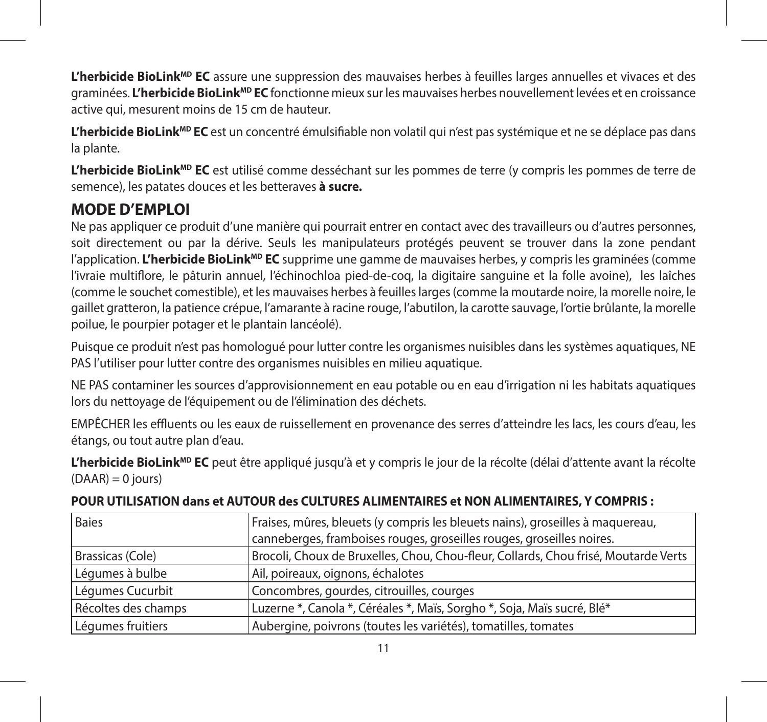L'herbicide BioLink<sup>MD</sup> EC assure une suppression des mauvaises herbes à feuilles larges annuelles et vivaces et des graminées. L'herbicide BioLink<sup>MD</sup> EC fonctionne mieux sur les mauvaises herbes nouvellement levées et en croissance active qui, mesurent moins de 15 cm de hauteur.

L'herbicide BioLink<sup>MD</sup> EC est un concentré émulsifiable non volatil qui n'est pas systémique et ne se déplace pas dans la plante.

L'herbicide BioLink<sup>MD</sup> EC est utilisé comme desséchant sur les pommes de terre (y compris les pommes de terre de semence), les patates douces et les betteraves **à sucre.**

## **MODE D'EMPLOI**

Ne pas appliquer ce produit d'une manière qui pourrait entrer en contact avec des travailleurs ou d'autres personnes, soit directement ou par la dérive. Seuls les manipulateurs protégés peuvent se trouver dans la zone pendant l'application. L'herbicide BioLink<sup>MD</sup> EC supprime une gamme de mauvaises herbes, y compris les graminées (comme l'ivraie multiflore, le pâturin annuel, l'échinochloa pied-de-coq, la digitaire sanguine et la folle avoine), les laîches (comme le souchet comestible), et les mauvaises herbes à feuilles larges (comme la moutarde noire, la morelle noire, le gaillet gratteron, la patience crépue, l'amarante à racine rouge, l'abutilon, la carotte sauvage, l'ortie brûlante, la morelle poilue, le pourpier potager et le plantain lancéolé).

Puisque ce produit n'est pas homologué pour lutter contre les organismes nuisibles dans les systèmes aquatiques, NE PAS l'utiliser pour lutter contre des organismes nuisibles en milieu aquatique.

NE PAS contaminer les sources d'approvisionnement en eau potable ou en eau d'irrigation ni les habitats aquatiques lors du nettoyage de l'équipement ou de l'élimination des déchets.

EMPÊCHER les effluents ou les eaux de ruissellement en provenance des serres d'atteindre les lacs, les cours d'eau, les étangs, ou tout autre plan d'eau.

L'herbicide BioLink<sup>MD</sup> EC peut être appliqué jusqu'à et y compris le jour de la récolte (délai d'attente avant la récolte  $(DAAR) = 0$  jours)

| Baies               | Fraises, mûres, bleuets (y compris les bleuets nains), groseilles à maquereau,      |
|---------------------|-------------------------------------------------------------------------------------|
|                     | canneberges, framboises rouges, groseilles rouges, groseilles noires.               |
| Brassicas (Cole)    | Brocoli, Choux de Bruxelles, Chou, Chou-fleur, Collards, Chou frisé, Moutarde Verts |
| Léqumes à bulbe     | Ail, poireaux, oignons, échalotes                                                   |
| Légumes Cucurbit    | Concombres, gourdes, citrouilles, courges                                           |
| Récoltes des champs | Luzerne *, Canola *, Céréales *, Maïs, Sorgho *, Soja, Maïs sucré, Blé*             |
| Léqumes fruitiers   | Aubergine, poivrons (toutes les variétés), tomatilles, tomates                      |

#### **POUR UTILISATION dans et AUTOUR des CULTURES ALIMENTAIRES et NON ALIMENTAIRES, Y COMPRIS :**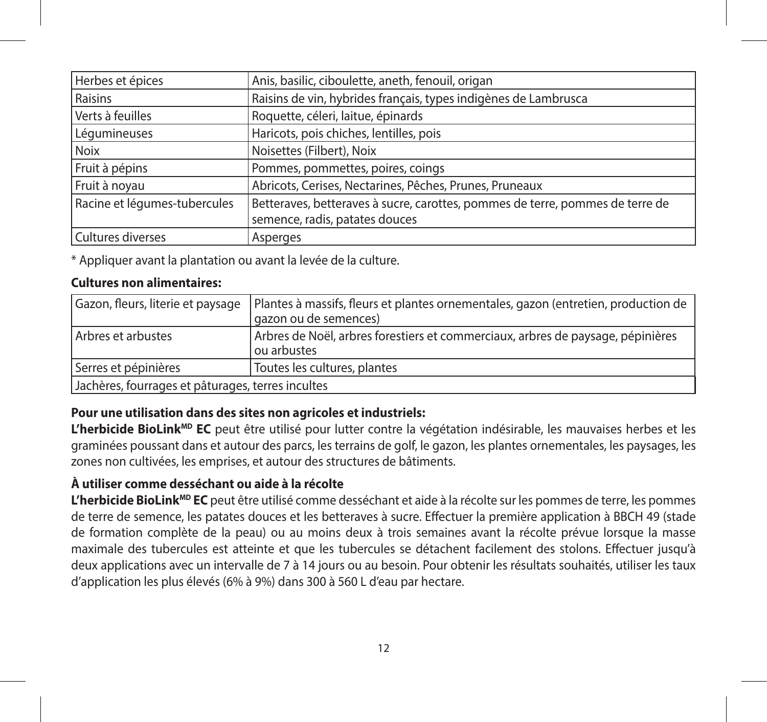| Herbes et épices             | Anis, basilic, ciboulette, aneth, fenouil, origan                             |
|------------------------------|-------------------------------------------------------------------------------|
| Raisins                      | Raisins de vin, hybrides français, types indigènes de Lambrusca               |
| Verts à feuilles             | Roquette, céleri, laitue, épinards                                            |
| Léqumineuses                 | Haricots, pois chiches, lentilles, pois                                       |
| <b>Noix</b>                  | Noisettes (Filbert), Noix                                                     |
| Fruit à pépins               | Pommes, pommettes, poires, coings                                             |
| Fruit à noyau                | Abricots, Cerises, Nectarines, Pêches, Prunes, Pruneaux                       |
| Racine et légumes-tubercules | Betteraves, betteraves à sucre, carottes, pommes de terre, pommes de terre de |
|                              | semence, radis, patates douces                                                |
| Cultures diverses            | Asperges                                                                      |

\* Appliquer avant la plantation ou avant la levée de la culture.

#### **Cultures non alimentaires:**

|                                                   | Gazon, fleurs, literie et paysage   Plantes à massifs, fleurs et plantes ornementales, gazon (entretien, production de<br>gazon ou de semences) |  |  |  |
|---------------------------------------------------|-------------------------------------------------------------------------------------------------------------------------------------------------|--|--|--|
| Arbres et arbustes                                | Arbres de Noël, arbres forestiers et commerciaux, arbres de paysage, pépinières<br>l ou arbustes                                                |  |  |  |
| Serres et pépinières                              | Toutes les cultures, plantes                                                                                                                    |  |  |  |
| Jachères, fourrages et pâturages, terres incultes |                                                                                                                                                 |  |  |  |

#### **Pour une utilisation dans des sites non agricoles et industriels:**

L'herbicide BioLink<sup>MD</sup> EC peut être utilisé pour lutter contre la végétation indésirable, les mauvaises herbes et les graminées poussant dans et autour des parcs, les terrains de golf, le gazon, les plantes ornementales, les paysages, les zones non cultivées, les emprises, et autour des structures de bâtiments.

#### **À utiliser comme desséchant ou aide à la récolte**

L'herbicide BioLink<sup>MD</sup> EC peut être utilisé comme desséchant et aide à la récolte sur les pommes de terre, les pommes de terre de semence, les patates douces et les betteraves à sucre. Effectuer la première application à BBCH 49 (stade de formation complète de la peau) ou au moins deux à trois semaines avant la récolte prévue lorsque la masse maximale des tubercules est atteinte et que les tubercules se détachent facilement des stolons. Effectuer jusqu'à deux applications avec un intervalle de 7 à 14 jours ou au besoin. Pour obtenir les résultats souhaités, utiliser les taux d'application les plus élevés (6% à 9%) dans 300 à 560 L d'eau par hectare.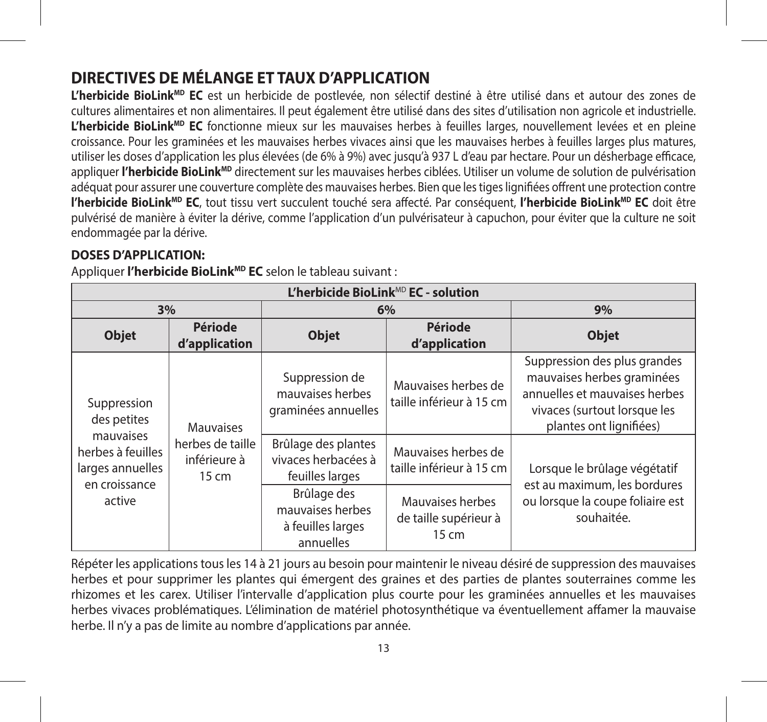## **DIRECTIVES DE MÉLANGE ET TAUX D'APPLICATION**

**L'herbicide BioLinkMD EC** est un herbicide de postlevée, non sélectif destiné à être utilisé dans et autour des zones de cultures alimentaires et non alimentaires. Il peut également être utilisé dans des sites d'utilisation non agricole et industrielle. L'herbicide BioLink<sup>MD</sup> EC fonctionne mieux sur les mauvaises herbes à feuilles larges, nouvellement levées et en pleine croissance. Pour les graminées et les mauvaises herbes vivaces ainsi que les mauvaises herbes à feuilles larges plus matures, utiliser les doses d'application les plus élevées (de 6% à 9%) avec jusqu'à 937 L d'eau par hectare. Pour un désherbage efficace, appliquer *l'herbicide BioLink<sup>MD</sup>* directement sur les mauvaises herbes ciblées. Utiliser un volume de solution de pulvérisation adéquat pour assurer une couverture complète des mauvaises herbes. Bien que les tiges lignifiées offrent une protection contre **l'herbicide BioLinkMD EC**, tout tissu vert succulent touché sera affecté. Par conséquent, **l'herbicide BioLinkMD EC** doit être pulvérisé de manière à éviter la dérive, comme l'application d'un pulvérisateur à capuchon, pour éviter que la culture ne soit endommagée par la dérive.

#### **DOSES D'APPLICATION:**

| L'herbicide BioLink <sup>MD</sup> EC - solution                                                             |                                                               |                                                                   |                                                    |                                                                                                                                                        |  |  |  |  |
|-------------------------------------------------------------------------------------------------------------|---------------------------------------------------------------|-------------------------------------------------------------------|----------------------------------------------------|--------------------------------------------------------------------------------------------------------------------------------------------------------|--|--|--|--|
| 3%                                                                                                          |                                                               | 6%                                                                |                                                    | 9%                                                                                                                                                     |  |  |  |  |
| <b>Objet</b>                                                                                                | Période<br>d'application                                      | <b>Objet</b>                                                      | Période<br>d'application                           | <b>Objet</b>                                                                                                                                           |  |  |  |  |
| Suppression<br>des petites<br>mauvaises<br>herbes à feuilles<br>larges annuelles<br>en croissance<br>active | <b>Mauvaises</b><br>herbes de taille<br>inférieure à<br>15 cm | Suppression de<br>mauvaises herbes<br>graminées annuelles         | Mauvaises herbes de<br>taille inférieur à 15 cm    | Suppression des plus grandes<br>mauvaises herbes graminées<br>annuelles et mauvaises herbes<br>vivaces (surtout lorsque les<br>plantes ont lignifiées) |  |  |  |  |
|                                                                                                             |                                                               | Brûlage des plantes<br>vivaces herbacées à<br>feuilles larges     | Mauvaises herbes de<br>taille inférieur à 15 cm    | Lorsque le brûlage végétatif<br>est au maximum, les bordures<br>ou lorsque la coupe foliaire est<br>souhaitée.                                         |  |  |  |  |
|                                                                                                             |                                                               | Brûlage des<br>mauvaises herbes<br>à feuilles larges<br>annuelles | Mauvaises herbes<br>de taille supérieur à<br>15 cm |                                                                                                                                                        |  |  |  |  |

Appliquer **l'herbicide BioLinkMD EC** selon le tableau suivant :

Répéter les applications tous les 14 à 21 jours au besoin pour maintenir le niveau désiré de suppression des mauvaises herbes et pour supprimer les plantes qui émergent des graines et des parties de plantes souterraines comme les rhizomes et les carex. Utiliser l'intervalle d'application plus courte pour les graminées annuelles et les mauvaises herbes vivaces problématiques. L'élimination de matériel photosynthétique va éventuellement affamer la mauvaise herbe. Il n'y a pas de limite au nombre d'applications par année.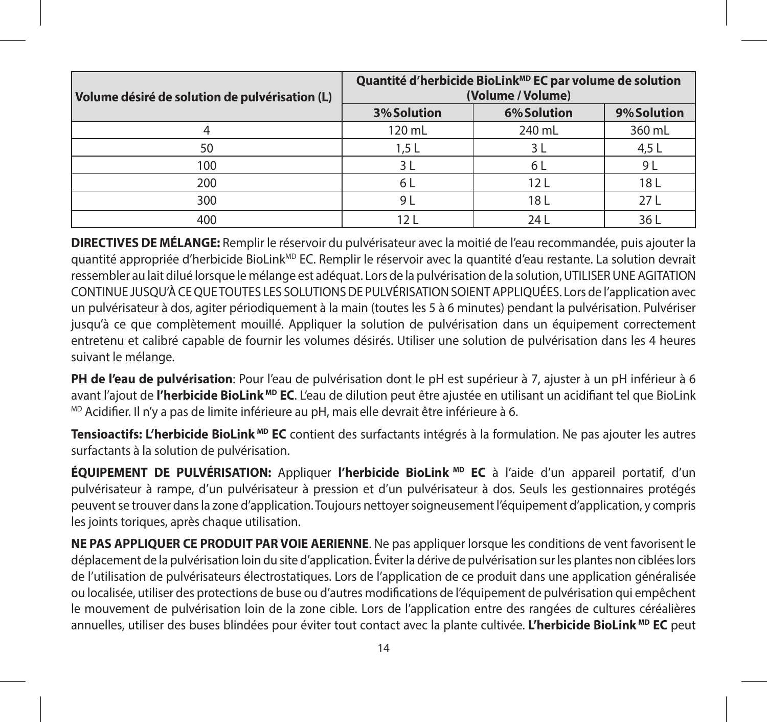| Volume désiré de solution de pulvérisation (L) | Quantité d'herbicide BioLink <sup>MD</sup> EC par volume de solution<br>(Volume / Volume) |                 |                 |
|------------------------------------------------|-------------------------------------------------------------------------------------------|-----------------|-----------------|
|                                                | 3% Solution                                                                               | 6% Solution     | 9% Solution     |
|                                                | 120 mL                                                                                    | 240 mL          | 360 mL          |
| 50                                             | 1,5L                                                                                      | 3 L             | 4,5 $L$         |
| 100                                            | 3 L                                                                                       | 6 L             | 9 L             |
| 200                                            | 6 L                                                                                       | 12 <sub>L</sub> | 18 L            |
| 300                                            | 9 L                                                                                       | 18 L            | 27 <sub>L</sub> |
| 400                                            | 21                                                                                        | 24 L            | 36 L            |

**DIRECTIVES DE MÉLANGE:** Remplir le réservoir du pulvérisateur avec la moitié de l'eau recommandée, puis ajouter la quantité appropriée d'herbicide BioLink<sup>MD</sup> EC. Remplir le réservoir avec la quantité d'eau restante. La solution devrait ressembler au lait dilué lorsque le mélange est adéquat. Lors de la pulvérisation de la solution, UTILISER UNE AGITATION CONTINUE JUSQU'À CE QUE TOUTES LES SOLUTIONS DE PULVÉRISATION SOIENT APPLIQUÉES. Lors de l'application avec un pulvérisateur à dos, agiter périodiquement à la main (toutes les 5 à 6 minutes) pendant la pulvérisation. Pulvériser jusqu'à ce que complètement mouillé. Appliquer la solution de pulvérisation dans un équipement correctement entretenu et calibré capable de fournir les volumes désirés. Utiliser une solution de pulvérisation dans les 4 heures suivant le mélange.

**PH de l'eau de pulvérisation**: Pour l'eau de pulvérisation dont le pH est supérieur à 7, ajuster à un pH inférieur à 6 avant l'ajout de **l'herbicide BioLink MD EC**. L'eau de dilution peut être ajustée en utilisant un acidifiant tel que BioLink MD Acidifier. Il n'y a pas de limite inférieure au pH, mais elle devrait être inférieure à 6.

**Tensioactifs: L'herbicide BioLink MD EC** contient des surfactants intégrés à la formulation. Ne pas ajouter les autres surfactants à la solution de pulvérisation.

**ÉQUIPEMENT DE PULVÉRISATION:** Appliquer **l'herbicide BioLink MD EC** à l'aide d'un appareil portatif, d'un pulvérisateur à rampe, d'un pulvérisateur à pression et d'un pulvérisateur à dos. Seuls les gestionnaires protégés peuvent se trouver dans la zone d'application. Toujours nettoyer soigneusement l'équipement d'application, y compris les joints toriques, après chaque utilisation.

**NE PAS APPLIQUER CE PRODUIT PAR VOIE AERIENNE**. Ne pas appliquer lorsque les conditions de vent favorisent le déplacement de la pulvérisation loin du site d'application. Éviter la dérive de pulvérisation sur les plantes non ciblées lors de l'utilisation de pulvérisateurs électrostatiques. Lors de l'application de ce produit dans une application généralisée ou localisée, utiliser des protections de buse ou d'autres modifications de l'équipement de pulvérisation qui empêchent le mouvement de pulvérisation loin de la zone cible. Lors de l'application entre des rangées de cultures céréalières annuelles, utiliser des buses blindées pour éviter tout contact avec la plante cultivée. **L'herbicide BioLink MD EC** peut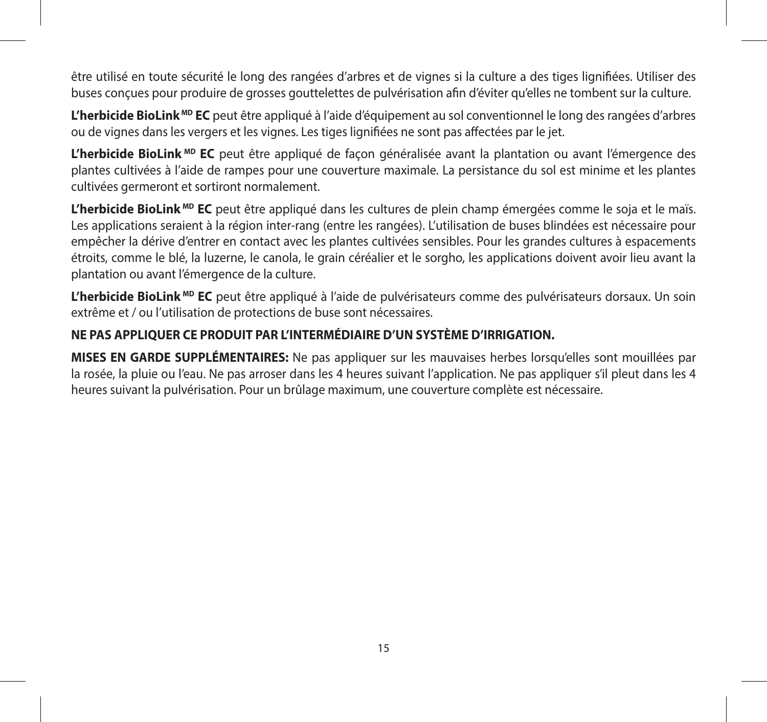être utilisé en toute sécurité le long des rangées d'arbres et de vignes si la culture a des tiges lignifiées. Utiliser des buses conçues pour produire de grosses gouttelettes de pulvérisation afin d'éviter qu'elles ne tombent sur la culture.

**L'herbicide BioLink MD EC** peut être appliqué à l'aide d'équipement au sol conventionnel le long des rangées d'arbres ou de vignes dans les vergers et les vignes. Les tiges lignifiées ne sont pas affectées par le jet.

L'herbicide BioLink<sup>MD</sup> EC peut être appliqué de façon généralisée avant la plantation ou avant l'émergence des plantes cultivées à l'aide de rampes pour une couverture maximale. La persistance du sol est minime et les plantes cultivées germeront et sortiront normalement.

L'herbicide BioLink<sup>MD</sup> EC peut être appliqué dans les cultures de plein champ émergées comme le soja et le maïs. Les applications seraient à la région inter-rang (entre les rangées). L'utilisation de buses blindées est nécessaire pour empêcher la dérive d'entrer en contact avec les plantes cultivées sensibles. Pour les grandes cultures à espacements étroits, comme le blé, la luzerne, le canola, le grain céréalier et le sorgho, les applications doivent avoir lieu avant la plantation ou avant l'émergence de la culture.

L'herbicide BioLink<sup>MD</sup> EC peut être appliqué à l'aide de pulvérisateurs comme des pulvérisateurs dorsaux. Un soin extrême et / ou l'utilisation de protections de buse sont nécessaires.

#### **NE PAS APPLIQUER CE PRODUIT PAR L'INTERMÉDIAIRE D'UN SYSTÈME D'IRRIGATION.**

**MISES EN GARDE SUPPLÉMENTAIRES:** Ne pas appliquer sur les mauvaises herbes lorsqu'elles sont mouillées par la rosée, la pluie ou l'eau. Ne pas arroser dans les 4 heures suivant l'application. Ne pas appliquer s'il pleut dans les 4 heures suivant la pulvérisation. Pour un brûlage maximum, une couverture complète est nécessaire.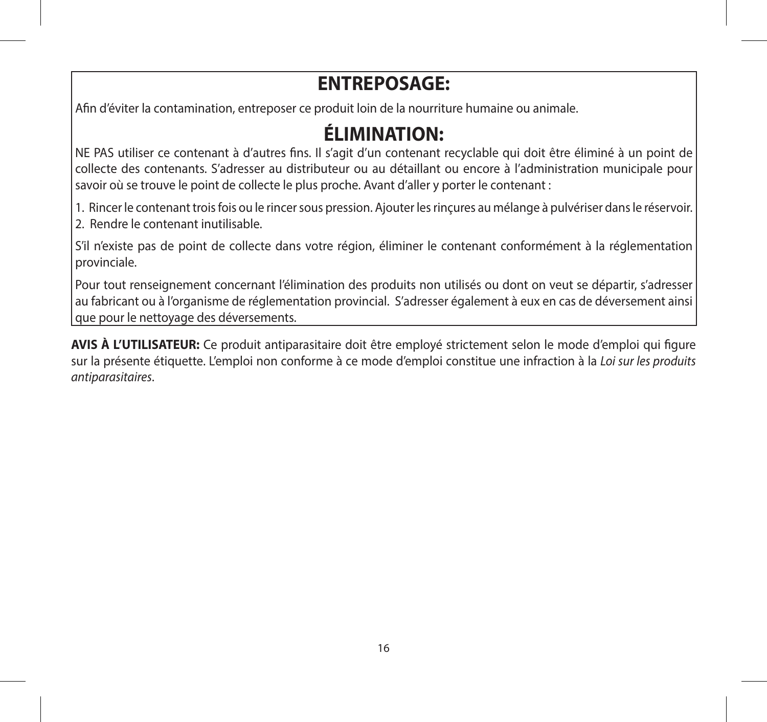## **ENTREPOSAGE:**

Afin d'éviter la contamination, entreposer ce produit loin de la nourriture humaine ou animale.

## **ÉLIMINATION:**

NE PAS utiliser ce contenant à d'autres fins. Il s'agit d'un contenant recyclable qui doit être éliminé à un point de collecte des contenants. S'adresser au distributeur ou au détaillant ou encore à l'administration municipale pour savoir où se trouve le point de collecte le plus proche. Avant d'aller y porter le contenant :

1. Rincer le contenant trois fois ou le rincer sous pression. Ajouter les rinçures au mélange à pulvériser dans le réservoir. 2. Rendre le contenant inutilisable.

S'il n'existe pas de point de collecte dans votre région, éliminer le contenant conformément à la réglementation provinciale.

Pour tout renseignement concernant l'élimination des produits non utilisés ou dont on veut se départir, s'adresser au fabricant ou à l'organisme de réglementation provincial. S'adresser également à eux en cas de déversement ainsi que pour le nettoyage des déversements.

**AVIS À L'UTILISATEUR:** Ce produit antiparasitaire doit être employé strictement selon le mode d'emploi qui figure sur la présente étiquette. L'emploi non conforme à ce mode d'emploi constitue une infraction à la *Loi sur les produits antiparasitaires*.